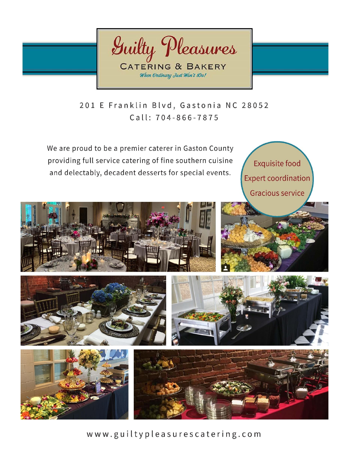

201 E Franklin Blvd, Gastonia NC 28052 Call: 704-866-7875

We are proud to be a premier caterer in Gaston County providing full service catering of fine southern cuisine and delectably, decadent desserts for special events.

**Exquisite food Expert coordination Gracious service** 







 $\frac{1}{2}$  w w .gui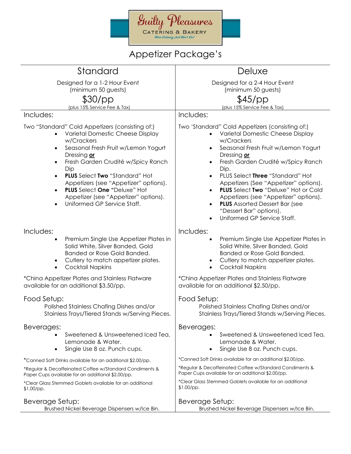

### Appetizer Package's

| Standard                                                                                                                                                                                                                                                                                                                                                                                                                                                                    | Deluxe                                                                                                                                                                                                                                                                                                                                                                                                                                                                                                               |
|-----------------------------------------------------------------------------------------------------------------------------------------------------------------------------------------------------------------------------------------------------------------------------------------------------------------------------------------------------------------------------------------------------------------------------------------------------------------------------|----------------------------------------------------------------------------------------------------------------------------------------------------------------------------------------------------------------------------------------------------------------------------------------------------------------------------------------------------------------------------------------------------------------------------------------------------------------------------------------------------------------------|
| Designed for a 1-2 Hour Event                                                                                                                                                                                                                                                                                                                                                                                                                                               | Designed for a 2-4 Hour Event                                                                                                                                                                                                                                                                                                                                                                                                                                                                                        |
| (minimum 50 guests)                                                                                                                                                                                                                                                                                                                                                                                                                                                         | (minimum 50 guests)                                                                                                                                                                                                                                                                                                                                                                                                                                                                                                  |
| \$30/pp<br>(plus 15% Service Fee & Tax)                                                                                                                                                                                                                                                                                                                                                                                                                                     | \$45/pp<br>(plus 15% Service Fee & Tax)                                                                                                                                                                                                                                                                                                                                                                                                                                                                              |
| Includes:                                                                                                                                                                                                                                                                                                                                                                                                                                                                   | Includes:                                                                                                                                                                                                                                                                                                                                                                                                                                                                                                            |
| Two "Standard" Cold Appetizers (consisting of:)<br>Varietal Domestic Cheese Display<br>$\bullet$<br>w/Crackers<br>Seasonal Fresh Fruit w/Lemon Yogurt<br>$\bullet$<br>Dressing or<br>Fresh Garden Crudité w/Spicy Ranch<br>$\bullet$<br>Dip<br><b>PLUS</b> Select Two "Standard" Hot<br>$\bullet$<br>Appetizers (see "Appetizer" options).<br>PLUS Select One "Deluxe" Hot<br>$\bullet$<br>Appetizer (see "Appetizer" options).<br>Uniformed GP Service Staff.<br>$\bullet$ | Two 'Standard" Cold Appetizers (consisting of:)<br>Varietal Domestic Cheese Display<br>w/Crackers<br>Seasonal Fresh Fruit w/Lemon Yogurt<br>$\bullet$<br>Dressing or<br>Fresh Garden Crudité w/Spicy Ranch<br>$\bullet$<br>Dip.<br>PLUS Select Three "Standard" Hot<br>$\bullet$<br>Appetizers (See "Appetizer" options).<br><b>PLUS</b> Select Two "Deluxe" Hot or Cold<br>Appetizers (see "Appetizer" options).<br><b>PLUS</b> Assorted Dessert Bar (see<br>"Dessert Bar" options).<br>Uniformed GP Service Staff. |
| Includes:<br>Premium Single Use Appetizer Plates in<br>$\bullet$<br>Solid White, Silver Banded, Gold<br>Banded or Rose Gold Banded.<br>Cutlery to match appetizer plates.<br>$\bullet$<br><b>Cocktail Napkins</b><br>$\bullet$                                                                                                                                                                                                                                              | Includes:<br>Premium Single Use Appetizer Plates in<br>Solid White, Silver Banded, Gold<br>Banded or Rose Gold Banded.<br>Cutlery to match appetizer plates.<br><b>Cocktail Napkins</b>                                                                                                                                                                                                                                                                                                                              |
| *China Appetizer Plates and Stainless Flatware<br>available for an additional \$3.50/pp.                                                                                                                                                                                                                                                                                                                                                                                    | *China Appetizer Plates and Stainless Flatware<br>available for an additional \$2.50/pp.                                                                                                                                                                                                                                                                                                                                                                                                                             |
| Food Setup:<br>Polished Stainless Chafing Dishes and/or<br>Stainless Trays/Tiered Stands w/Serving Pieces.                                                                                                                                                                                                                                                                                                                                                                  | Food Setup:<br>Polished Stainless Chafing Dishes and/or<br>Stainless Trays/Tiered Stands w/Serving Pieces.                                                                                                                                                                                                                                                                                                                                                                                                           |
| Beverages:<br>Sweetened & Unsweetened Iced Tea,<br>Lemonade & Water.<br>Single Use 8 oz. Punch cups.<br>$\bullet$                                                                                                                                                                                                                                                                                                                                                           | Beverages:<br>Sweetened & Unsweetened Iced Tea,<br>Lemonade & Water.<br>Single Use 8 oz. Punch cups.                                                                                                                                                                                                                                                                                                                                                                                                                 |
| *Canned Soft Drinks available for an additional \$2.00/pp.                                                                                                                                                                                                                                                                                                                                                                                                                  | *Canned Soft Drinks available for an additional \$2.00/pp.                                                                                                                                                                                                                                                                                                                                                                                                                                                           |
| *Regular & Decaffeinated Coffee w/Standard Condiments &<br>Paper Cups available for an additional \$2.00/pp.                                                                                                                                                                                                                                                                                                                                                                | *Regular & Decaffeinated Coffee w/Standard Condiments &<br>Paper Cups available for an additional \$2.00/pp.                                                                                                                                                                                                                                                                                                                                                                                                         |
| *Clear Glass Stemmed Goblets available for an additional<br>$$1.00$ /pp.                                                                                                                                                                                                                                                                                                                                                                                                    | *Clear Glass Stemmed Goblets available for an additional<br>$$1.00$ /pp.                                                                                                                                                                                                                                                                                                                                                                                                                                             |
| Beverage Setup:<br>Brushed Nickel Beverage Dispensers w/Ice Bin.                                                                                                                                                                                                                                                                                                                                                                                                            | Beverage Setup:<br>Brushed Nickel Beverage Dispensers w/Ice Bin.                                                                                                                                                                                                                                                                                                                                                                                                                                                     |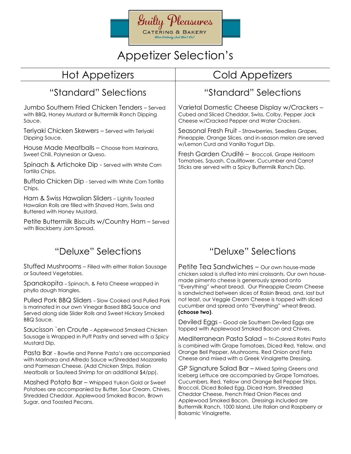

### Appetizer Selection's

### "Standard" Selections

Jumbo Southern Fried Chicken Tenders – Served with BBQ, Honey Mustard or Buttermilk Ranch Dipping Sauce.

Teriyaki Chicken Skewers – Served with Teriyaki Dipping Sauce.

House Made Meatballs – Choose from Marinara, Sweet Chili, Polynesian or Queso.

Spinach & Artichoke Dip - Served with White Corn Tortilla Chips.

Buffalo Chicken Dip - Served with White Corn Tortilla Chips.

Ham & Swiss Hawaiian Sliders – Lightly Toasted Hawaiian Rolls are filled with Shaved Ham, Swiss and Buttered with Honey Mustard.

Petite Buttermilk Biscuits w/Country Ham – Served with Blackberry Jam Spread.

### "Deluxe" Selections

Stuffed Mushrooms – Filled with either Italian Sausage or Sauteed Vegetables.

Spanakopita – Spinach, & Feta Cheese wrapped in phyllo dough triangles.

Pulled Pork BBQ Sliders – Slow Cooked and Pulled Pork is marinated in our own Vinegar Based BBQ Sauce and Served along side Slider Rolls and Sweet Hickory Smoked BBQ Sauce.

Saucisson `en Croute – Applewood Smoked Chicken Sausage is Wrapped in Puff Pastry and served with a Spicy Mustard Dip.

Pasta Bar – Bowtie and Penne Pasta's are accompanied with Marinara and Alfredo Sauce w/Shredded Mozzarella and Parmesan Cheese. (Add Chicken Strips, Italian Meatballs or Sauteed Shrimp for an additional \$4/pp).

Mashed Potato Bar – Whipped Yukon Gold or Sweet Potatoes are accompanied by Butter, Sour Cream, Chives, Shredded Cheddar, Applewood Smoked Bacon, Brown Sugar, and Toasted Pecans.

### Hot Appetizers The Cold Appetizers

### "Standard" Selections

Varietal Domestic Cheese Display w/Crackers – Cubed and Sliced Cheddar, Swiss, Colby, Pepper Jack Cheese w/Cracked Pepper and Water Crackers.

Seasonal Fresh Fruit – Strawberries, Seedless Grapes, Pineapple, Orange Slices, and in-season melon are served w/Lemon Curd and Vanilla Yogurt Dip.

Fresh Garden Crudité – Broccoli, Grape Heirloom Tomatoes, Squash, Cauliflower, Cucumber and Carrot Sticks are served with a Spicy Buttermilk Ranch Dip.

### "Deluxe" Selections

Petite Tea Sandwiches – Our own house-made chicken salad is stuffed into mini croissants. Our own housemade pimento cheese is generously spread onto "Everything" wheat bread. Our Pineapple Cream Cheese is sandwiched between slices of Raisin Bread, and, last but not least, our Veggie Cream Cheese is topped with sliced cucumber and spread onto "Everything" wheat Bread. **(choose two)**.

Deviled Eggs – Good ole Southern Deviled Eggs are topped with Applewood Smoked Bacon and Chives.

Mediterranean Pasta Salad – Tri-Colored Rotini Pasta is combined with Grape Tomatoes, Diced Red, Yellow, and Orange Bell Pepper, Mushrooms, Red Onion and Feta Cheese and mixed with a Greek Vinaigrette Dressing.

GP Signature Salad Bar – Mixed Spring Greens and Iceberg Lettuce are accompanied by Grape Tomatoes, Cucumbers, Red, Yellow and Orange Bell Pepper Strips, Broccoli, Diced Boiled Egg, Diced Ham, Shredded Cheddar Cheese, French Fried Onion Pieces and Applewood Smoked Bacon. Dressings included are Buttermilk Ranch, 1000 Island, Lite Italian and Raspberry or Balsamic Vinaigrette.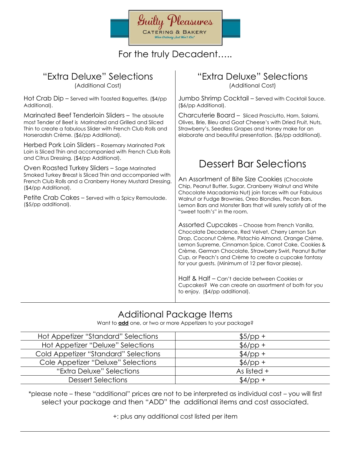

### For the truly Decadent…..

#### "Extra Deluxe" Selections

(Additional Cost)

Hot Crab Dip – Served with Toasted Baguettes. (\$4/pp Additional).

Marinated Beef Tenderloin Sliders – The absolute most Tender of Beef is Marinated and Grilled and Sliced Thin to create a fabulous Slider with French Club Rolls and Horseradish Crème. (\$6/pp Additional).

Herbed Pork Loin Sliders – Rosemary Marinated Pork Loin is Sliced Thin and accompanied with French Club Rolls and Citrus Dressing. (\$4/pp Additional).

Oven Roasted Turkey Sliders – Sage Marinated Smoked Turkey Breast is Sliced Thin and accompanied with French Club Rolls and a Cranberry Honey Mustard Dressing. (\$4/pp Additional).

Petite Crab Cakes – Served with a Spicy Remoulade. (\$5/pp additional).

### "Extra Deluxe" Selections

(Additional Cost)

Jumbo Shrimp Cocktail – Served with Cocktail Sauce. (\$6/pp Additional).

Charcuterie Board – Sliced Prosciutto, Ham, Salami, Olives, Brie, Bleu and Goat Cheese's with Dried Fruit, Nuts, Strawberry's, Seedless Grapes and Honey make for an elaborate and beautiful presentation. (\$6/pp additional).

### Dessert Bar Selections

An Assortment of Bite Size Cookies (Chocolate Chip, Peanut Butter, Sugar, Cranberry Walnut and White Chocolate Macadamia Nut) join forces with our Fabulous Walnut or Fudge Brownies, Oreo Blondies, Pecan Bars, Lemon Bars and Monster Bars that will surely satisfy all of the "sweet tooth's" in the room.

Assorted Cupcakes – Choose from French Vanilla, Chocolate Decadence, Red Velvet, Cherry Lemon Sun Drop, Coconut Crème, Pistachio Almond, Orange Crème, Lemon Supreme, Cinnamon Spice, Carrot Cake, Cookies & Crème, German Chocolate, Strawberry Swirl, Peanut Butter Cup, or Peach's and Crème to create a cupcake fantasy for your guests. (Minimum of 12 per flavor please).

Half & Half – Can't decide between Cookies or Cupcakes? We can create an assortment of both for you to enjoy. (\$4/pp additional).

### Additional Package Items

Want to **add** one, or two or more Appetizers to your package?

| Hot Appetizer "Standard" Selections  | $$5/pp +$     |
|--------------------------------------|---------------|
| Hot Appetizer "Deluxe" Selections    | $$6/pp +$     |
| Cold Appetizer "Standard" Selections | $$4$ /pp +    |
| Cole Appetizer "Deluxe" Selections   | $$6/pp +$     |
| "Extra Deluxe" Selections            | As listed $+$ |
| <b>Dessert Selections</b>            | $$4$ /pp +    |

\*please note – these "additional" prices are not to be interpreted as individual cost – you will first select your package and then "ADD" the additional items and cost associated.

+: plus any additional cost listed per item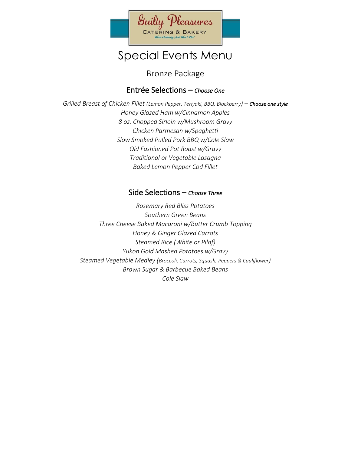

Bronze Package

#### Entrée Selections – *Choose One*

*Grilled Breast of Chicken Fillet (Lemon Pepper, Teriyaki, BBQ, Blackberry) – Choose one style Honey Glazed Ham w/Cinnamon Apples 8 oz. Chopped Sirloin w/Mushroom Gravy Chicken Parmesan w/Spaghetti Slow Smoked Pulled Pork BBQ w/Cole Slaw Old Fashioned Pot Roast w/Gravy Traditional or Vegetable Lasagna Baked Lemon Pepper Cod Fillet*

#### Side Selections – *Choose Three*

*Rosemary Red Bliss Potatoes Southern Green Beans Three Cheese Baked Macaroni w/Butter Crumb Topping Honey & Ginger Glazed Carrots Steamed Rice (White or Pilaf) Yukon Gold Mashed Potatoes w/Gravy Steamed Vegetable Medley (Broccoli, Carrots, Squash, Peppers & Cauliflower) Brown Sugar & Barbecue Baked Beans Cole Slaw*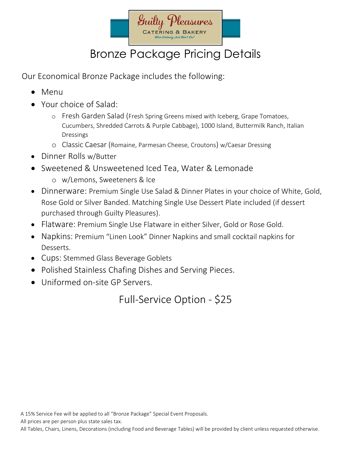

## Bronze Package Pricing Details

Our Economical Bronze Package includes the following:

- Menu
- Your choice of Salad:
	- o Fresh Garden Salad (Fresh Spring Greens mixed with Iceberg, Grape Tomatoes, Cucumbers, Shredded Carrots & Purple Cabbage), 1000 Island, Buttermilk Ranch, Italian Dressings
	- o Classic Caesar (Romaine, Parmesan Cheese, Croutons) w/Caesar Dressing
- Dinner Rolls w/Butter
- Sweetened & Unsweetened Iced Tea, Water & Lemonade
	- o w/Lemons, Sweeteners & Ice
- Dinnerware: Premium Single Use Salad & Dinner Plates in your choice of White, Gold, Rose Gold or Silver Banded. Matching Single Use Dessert Plate included (if dessert purchased through Guilty Pleasures).
- Flatware: Premium Single Use Flatware in either Silver, Gold or Rose Gold.
- Napkins: Premium "Linen Look" Dinner Napkins and small cocktail napkins for Desserts.
- Cups: Stemmed Glass Beverage Goblets
- Polished Stainless Chafing Dishes and Serving Pieces.
- Uniformed on-site GP Servers.

Full-Service Option - \$25

A 15% Service Fee will be applied to all "Bronze Package" Special Event Proposals.

All prices are per person plus state sales tax.

All Tables, Chairs, Linens, Decorations (including Food and Beverage Tables) will be provided by client unless requested otherwise.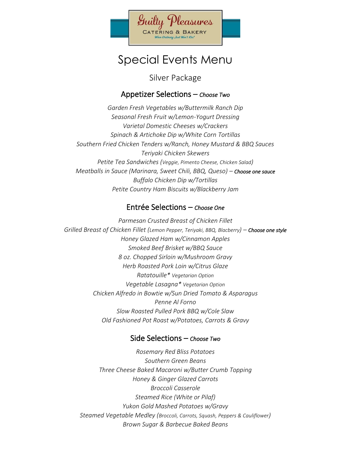

Silver Package

#### Appetizer Selections – *Choose Two*

*Garden Fresh Vegetables w/Buttermilk Ranch Dip Seasonal Fresh Fruit w/Lemon-Yogurt Dressing Varietal Domestic Cheeses w/Crackers Spinach & Artichoke Dip w/White Corn Tortillas Southern Fried Chicken Tenders w/Ranch, Honey Mustard & BBQ Sauces Teriyaki Chicken Skewers Petite Tea Sandwiches (Veggie, Pimento Cheese, Chicken Salad) Meatballs in Sauce (Marinara, Sweet Chili, BBQ, Queso) – Choose one sauce Buffalo Chicken Dip w/Tortillas Petite Country Ham Biscuits w/Blackberry Jam*

#### Entrée Selections – *Choose One*

*Parmesan Crusted Breast of Chicken Fillet Grilled Breast of Chicken Fillet (Lemon Pepper, Teriyaki, BBQ, Blacberry) – Choose one style Honey Glazed Ham w/Cinnamon Apples Smoked Beef Brisket w/BBQ Sauce 8 oz. Chopped Sirloin w/Mushroom Gravy Herb Roasted Pork Loin w/Citrus Glaze Ratatouille\* Vegetarian Option Vegetable Lasagna\* Vegetarian Option Chicken Alfredo in Bowtie w/Sun Dried Tomato & Asparagus Penne Al Forno Slow Roasted Pulled Pork BBQ w/Cole Slaw Old Fashioned Pot Roast w/Potatoes, Carrots & Gravy*

#### Side Selections – *Choose Two*

*Rosemary Red Bliss Potatoes Southern Green Beans Three Cheese Baked Macaroni w/Butter Crumb Topping Honey & Ginger Glazed Carrots Broccoli Casserole Steamed Rice (White or Pilaf) Yukon Gold Mashed Potatoes w/Gravy Steamed Vegetable Medley (Broccoli, Carrots, Squash, Peppers & Cauliflower) Brown Sugar & Barbecue Baked Beans*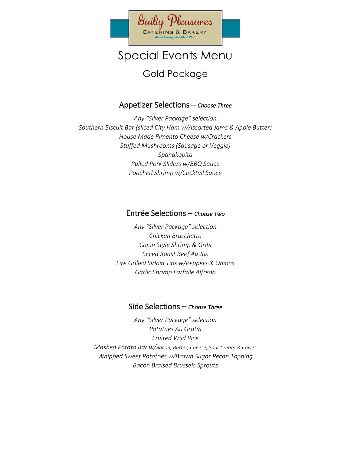

### Gold Package

#### Appetizer Selections – *Choose Three*

*Any "Silver Package" selection Southern Biscuit Bar (sliced City Ham w/Assorted Jams & Apple Butter) House Made Pimento Cheese w/Crackers Stuffed Mushrooms (Sausage or Veggie) Spanakopita Pulled Pork Sliders w/BBQ Sauce Poached Shrimp w/Cocktail Sauce*

#### Entrée Selections – *Choose Two*

*Any "Silver Package" selection Chicken Bruschetta Cajun Style Shrimp & Grits Sliced Roast Beef Au Jus Fire Grilled Sirloin Tips w/Peppers & Onions Garlic Shrimp Farfalle Alfredo*

#### Side Selections – *Choose Three*

*Any "Silver Package" selection Potatoes Au Gratin Fruited Wild Rice Mashed Potato Bar w/Bacon, Butter, Cheese, Sour Cream & Chives Whipped Sweet Potatoes w/Brown Sugar Pecan Topping Bacon Braised Brussels Sprouts*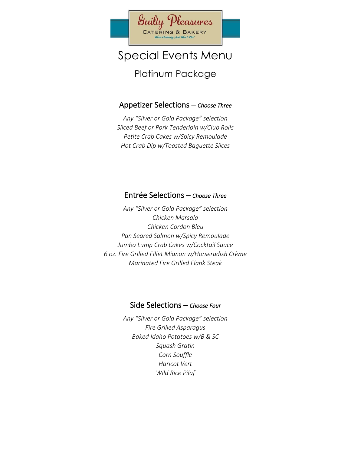

Platinum Package

#### Appetizer Selections – *Choose Three*

*Any "Silver or Gold Package" selection Sliced Beef or Pork Tenderloin w/Club Rolls Petite Crab Cakes w/Spicy Remoulade Hot Crab Dip w/Toasted Baguette Slices*

#### Entrée Selections – *Choose Three*

*Any "Silver or Gold Package" selection Chicken Marsala Chicken Cordon Bleu Pan Seared Salmon w/Spicy Remoulade Jumbo Lump Crab Cakes w/Cocktail Sauce 6 oz. Fire Grilled Fillet Mignon w/Horseradish Crème Marinated Fire Grilled Flank Steak*

#### Side Selections – *Choose Four*

*Any "Silver or Gold Package" selection Fire Grilled Asparagus Baked Idaho Potatoes w/B & SC Squash Gratin Corn Souffle Haricot Vert Wild Rice Pilaf*